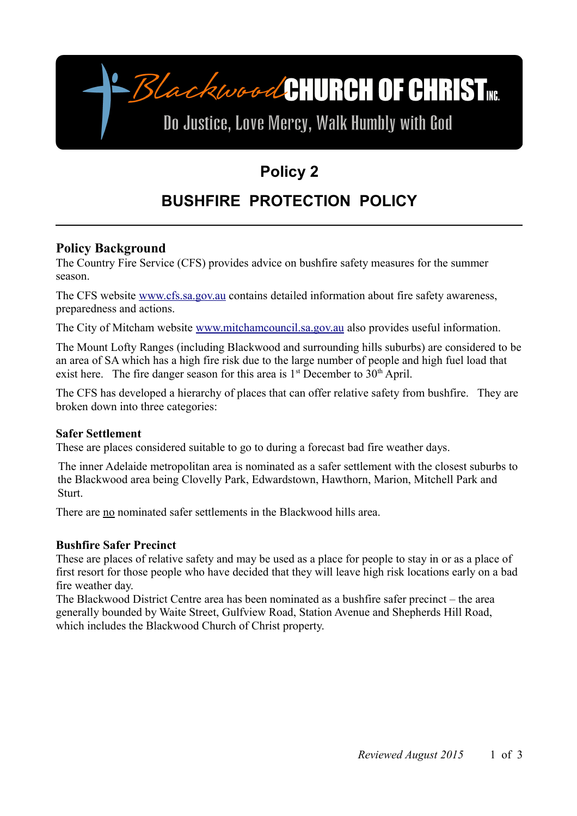-BlackwoodCHURCH OF CHRIST

# Do Justice, Love Mercy, Walk Humbly with God

## **Policy 2**

## **BUSHFIRE PROTECTION POLICY**

## **Policy Background**

The Country Fire Service (CFS) provides advice on bushfire safety measures for the summer season.

The CFS website [www.cfs.sa.gov.au](http://www.cfs.sa.gov.au/) contains detailed information about fire safety awareness, preparedness and actions.

The City of Mitcham website [www.mitchamcouncil.sa.gov.au](http://www.mitchamcouncil.sa.gov.au/) also provides useful information.

The Mount Lofty Ranges (including Blackwood and surrounding hills suburbs) are considered to be an area of SA which has a high fire risk due to the large number of people and high fuel load that exist here. The fire danger season for this area is  $1<sup>st</sup>$  December to  $30<sup>th</sup>$  April.

The CFS has developed a hierarchy of places that can offer relative safety from bushfire. They are broken down into three categories:

#### **Safer Settlement**

These are places considered suitable to go to during a forecast bad fire weather days.

The inner Adelaide metropolitan area is nominated as a safer settlement with the closest suburbs to the Blackwood area being Clovelly Park, Edwardstown, Hawthorn, Marion, Mitchell Park and Sturt.

There are no nominated safer settlements in the Blackwood hills area.

#### **Bushfire Safer Precinct**

These are places of relative safety and may be used as a place for people to stay in or as a place of first resort for those people who have decided that they will leave high risk locations early on a bad fire weather day.

The Blackwood District Centre area has been nominated as a bushfire safer precinct – the area generally bounded by Waite Street, Gulfview Road, Station Avenue and Shepherds Hill Road, which includes the Blackwood Church of Christ property.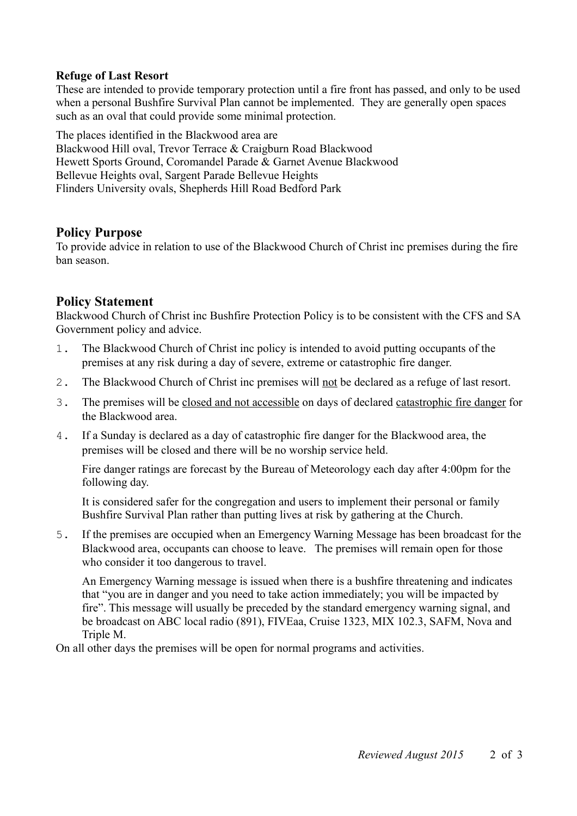#### **Refuge of Last Resort**

These are intended to provide temporary protection until a fire front has passed, and only to be used when a personal Bushfire Survival Plan cannot be implemented. They are generally open spaces such as an oval that could provide some minimal protection.

The places identified in the Blackwood area are Blackwood Hill oval, Trevor Terrace & Craigburn Road Blackwood Hewett Sports Ground, Coromandel Parade & Garnet Avenue Blackwood Bellevue Heights oval, Sargent Parade Bellevue Heights Flinders University ovals, Shepherds Hill Road Bedford Park

## **Policy Purpose**

To provide advice in relation to use of the Blackwood Church of Christ inc premises during the fire ban season.

### **Policy Statement**

Blackwood Church of Christ inc Bushfire Protection Policy is to be consistent with the CFS and SA Government policy and advice.

- 1. The Blackwood Church of Christ inc policy is intended to avoid putting occupants of the premises at any risk during a day of severe, extreme or catastrophic fire danger.
- 2. The Blackwood Church of Christ inc premises will not be declared as a refuge of last resort.
- 3. The premises will be closed and not accessible on days of declared catastrophic fire danger for the Blackwood area.
- 4. If a Sunday is declared as a day of catastrophic fire danger for the Blackwood area, the premises will be closed and there will be no worship service held.

Fire danger ratings are forecast by the Bureau of Meteorology each day after 4:00pm for the following day.

It is considered safer for the congregation and users to implement their personal or family Bushfire Survival Plan rather than putting lives at risk by gathering at the Church.

5. If the premises are occupied when an Emergency Warning Message has been broadcast for the Blackwood area, occupants can choose to leave. The premises will remain open for those who consider it too dangerous to travel.

An Emergency Warning message is issued when there is a bushfire threatening and indicates that "you are in danger and you need to take action immediately; you will be impacted by fire". This message will usually be preceded by the standard emergency warning signal, and be broadcast on ABC local radio (891), FIVEaa, Cruise 1323, MIX 102.3, SAFM, Nova and Triple M.

On all other days the premises will be open for normal programs and activities.